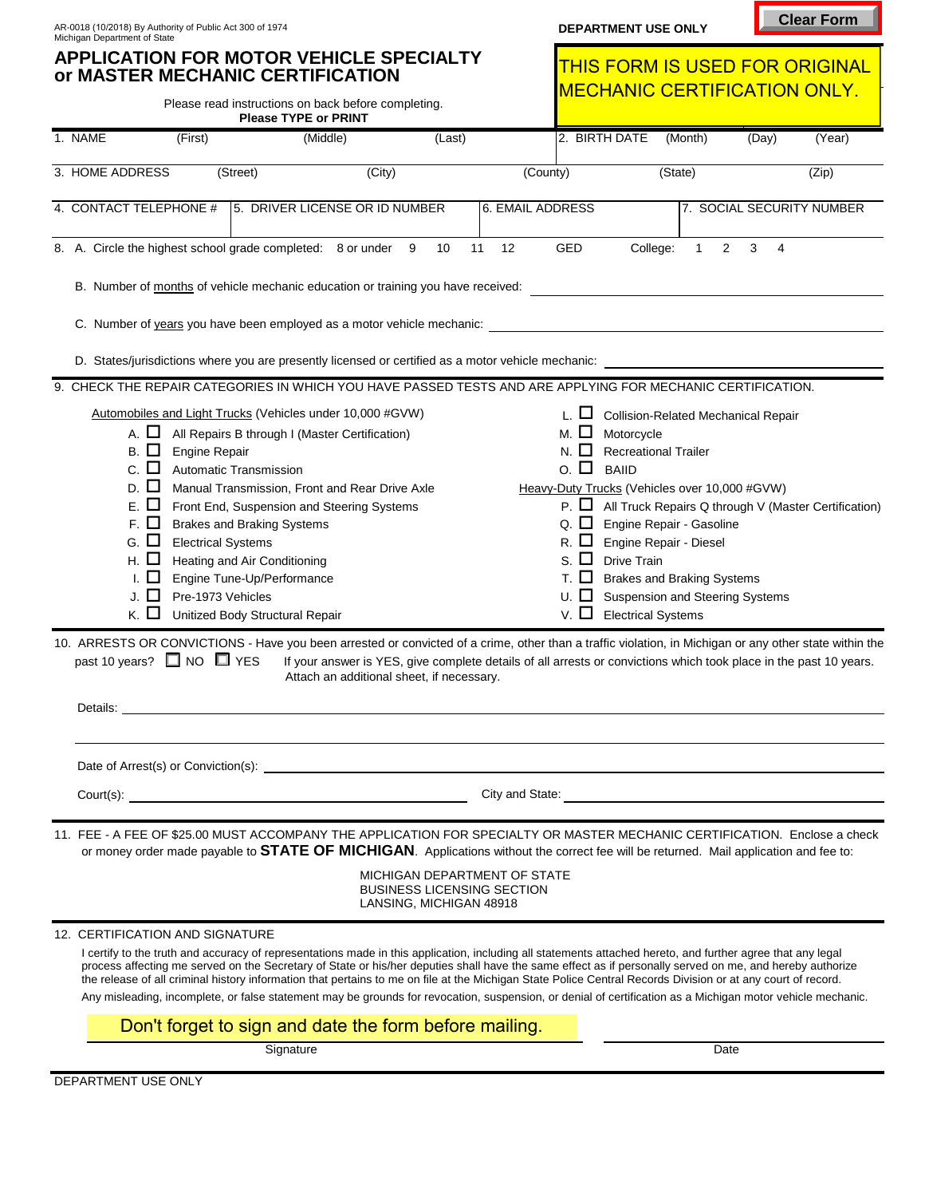| яг<br>- 10 |  |
|------------|--|
|------------|--|

| AR-0018 (10/2018) By Authority of Public Act 300 of 1974<br>Michigan Department of State |                                                                                                                                                                             |                                                                                                                                                                                                                                                                                                                                                                                                                                                                                                                                                                                                                                                       |                                                                                                                                                                |        |                                                                   |                                                                           | DEPARTMENT USE ONLY                                                                                                                                                                                                                                                                                   |                   |        |                                                                |
|------------------------------------------------------------------------------------------|-----------------------------------------------------------------------------------------------------------------------------------------------------------------------------|-------------------------------------------------------------------------------------------------------------------------------------------------------------------------------------------------------------------------------------------------------------------------------------------------------------------------------------------------------------------------------------------------------------------------------------------------------------------------------------------------------------------------------------------------------------------------------------------------------------------------------------------------------|----------------------------------------------------------------------------------------------------------------------------------------------------------------|--------|-------------------------------------------------------------------|---------------------------------------------------------------------------|-------------------------------------------------------------------------------------------------------------------------------------------------------------------------------------------------------------------------------------------------------------------------------------------------------|-------------------|--------|----------------------------------------------------------------|
|                                                                                          |                                                                                                                                                                             | <b>APPLICATION FOR MOTOR VEHICLE SPECIALTY</b><br>or MASTER MECHANIC CERTIFICATION                                                                                                                                                                                                                                                                                                                                                                                                                                                                                                                                                                    |                                                                                                                                                                |        |                                                                   |                                                                           | <b>MECHANIC CERTIFICATION ONLY.</b>                                                                                                                                                                                                                                                                   |                   |        | <b>THIS FORM IS USED FOR ORIGINAL</b>                          |
|                                                                                          |                                                                                                                                                                             | Please read instructions on back before completing.<br><b>Please TYPE or PRINT</b>                                                                                                                                                                                                                                                                                                                                                                                                                                                                                                                                                                    |                                                                                                                                                                |        |                                                                   |                                                                           |                                                                                                                                                                                                                                                                                                       |                   |        |                                                                |
| 1. NAME                                                                                  | (First)                                                                                                                                                                     | (Middle)                                                                                                                                                                                                                                                                                                                                                                                                                                                                                                                                                                                                                                              |                                                                                                                                                                | (Last) |                                                                   | 2. BIRTH DATE                                                             |                                                                                                                                                                                                                                                                                                       | (Month)           | (Day)  | (Year)                                                         |
| 3. HOME ADDRESS                                                                          |                                                                                                                                                                             | (Street)                                                                                                                                                                                                                                                                                                                                                                                                                                                                                                                                                                                                                                              | (City)                                                                                                                                                         |        | (County)                                                          |                                                                           | (State)                                                                                                                                                                                                                                                                                               |                   |        | (Zip)                                                          |
| 4. CONTACT TELEPHONE #                                                                   |                                                                                                                                                                             | 5. DRIVER LICENSE OR ID NUMBER                                                                                                                                                                                                                                                                                                                                                                                                                                                                                                                                                                                                                        |                                                                                                                                                                |        | 6. EMAIL ADDRESS                                                  |                                                                           |                                                                                                                                                                                                                                                                                                       |                   |        | 7. SOCIAL SECURITY NUMBER                                      |
|                                                                                          |                                                                                                                                                                             | 8. A. Circle the highest school grade completed: 8 or under 9                                                                                                                                                                                                                                                                                                                                                                                                                                                                                                                                                                                         |                                                                                                                                                                | 10     | 11<br>12                                                          | GED                                                                       | College:                                                                                                                                                                                                                                                                                              | $\mathbf{1}$<br>2 | 3<br>4 |                                                                |
|                                                                                          |                                                                                                                                                                             | B. Number of months of vehicle mechanic education or training you have received:                                                                                                                                                                                                                                                                                                                                                                                                                                                                                                                                                                      |                                                                                                                                                                |        |                                                                   |                                                                           |                                                                                                                                                                                                                                                                                                       |                   |        |                                                                |
|                                                                                          |                                                                                                                                                                             | C. Number of years you have been employed as a motor vehicle mechanic:                                                                                                                                                                                                                                                                                                                                                                                                                                                                                                                                                                                |                                                                                                                                                                |        |                                                                   |                                                                           |                                                                                                                                                                                                                                                                                                       |                   |        |                                                                |
|                                                                                          |                                                                                                                                                                             | D. States/jurisdictions where you are presently licensed or certified as a motor vehicle mechanic:                                                                                                                                                                                                                                                                                                                                                                                                                                                                                                                                                    |                                                                                                                                                                |        |                                                                   |                                                                           |                                                                                                                                                                                                                                                                                                       |                   |        |                                                                |
|                                                                                          |                                                                                                                                                                             | 9. CHECK THE REPAIR CATEGORIES IN WHICH YOU HAVE PASSED TESTS AND ARE APPLYING FOR MECHANIC CERTIFICATION.                                                                                                                                                                                                                                                                                                                                                                                                                                                                                                                                            |                                                                                                                                                                |        |                                                                   |                                                                           |                                                                                                                                                                                                                                                                                                       |                   |        |                                                                |
| D.<br>Е.<br>G.<br>Н.<br>I.<br>J.                                                         | A. LI<br>Engine Repair<br>в. Ц<br>с. ⊔<br>ΙI<br>$\mathsf{L}$<br>F. LI<br><b>Electrical Systems</b><br>$\Box$<br>ப<br>Pre-1973 Vehicles<br>к. Ц<br>past 10 years? ■ NO ■ YES | All Repairs B through I (Master Certification)<br>Automatic Transmission<br>Manual Transmission, Front and Rear Drive Axle<br>Front End, Suspension and Steering Systems<br><b>Brakes and Braking Systems</b><br>Heating and Air Conditioning<br>Engine Tune-Up/Performance<br>Unitized Body Structural Repair<br>10. ARRESTS OR CONVICTIONS - Have you been arrested or convicted of a crime, other than a traffic violation, in Michigan or any other state within the                                                                                                                                                                              | If your answer is YES, give complete details of all arrests or convictions which took place in the past 10 years.<br>Attach an additional sheet, if necessary. |        |                                                                   | м. Ш<br>N. LI<br>$\circ$ . $\Box$<br>R. $\Box$<br>s. LI<br>т. ш.<br>V. LI | Motorcycle<br><b>Recreational Trailer</b><br><b>BAIID</b><br>Heavy-Duty Trucks (Vehicles over 10,000 #GVW)<br>Q. $\Box$ Engine Repair - Gasoline<br>Engine Repair - Diesel<br><b>Drive Train</b><br><b>Brakes and Braking Systems</b><br>Suspension and Steering Systems<br><b>Electrical Systems</b> |                   |        | P. $\Box$ All Truck Repairs Q through V (Master Certification) |
| Details:                                                                                 |                                                                                                                                                                             |                                                                                                                                                                                                                                                                                                                                                                                                                                                                                                                                                                                                                                                       |                                                                                                                                                                |        |                                                                   |                                                                           |                                                                                                                                                                                                                                                                                                       |                   |        |                                                                |
|                                                                                          |                                                                                                                                                                             | Date of Arrest(s) or Conviction(s): <u>example and convertible</u> and convertible and convertible and convertible and convertible and convertible and convertible and convertible and convertible and convertible and convertible                                                                                                                                                                                                                                                                                                                                                                                                                    |                                                                                                                                                                |        |                                                                   |                                                                           |                                                                                                                                                                                                                                                                                                       |                   |        |                                                                |
|                                                                                          | City and State:                                                                                                                                                             |                                                                                                                                                                                                                                                                                                                                                                                                                                                                                                                                                                                                                                                       |                                                                                                                                                                |        |                                                                   |                                                                           |                                                                                                                                                                                                                                                                                                       |                   |        |                                                                |
|                                                                                          |                                                                                                                                                                             | 11. FEE - A FEE OF \$25.00 MUST ACCOMPANY THE APPLICATION FOR SPECIALTY OR MASTER MECHANIC CERTIFICATION. Enclose a check<br>or money order made payable to <b>STATE OF MICHIGAN</b> . Applications without the correct fee will be returned. Mail application and fee to:                                                                                                                                                                                                                                                                                                                                                                            |                                                                                                                                                                |        |                                                                   |                                                                           |                                                                                                                                                                                                                                                                                                       |                   |        |                                                                |
|                                                                                          |                                                                                                                                                                             |                                                                                                                                                                                                                                                                                                                                                                                                                                                                                                                                                                                                                                                       | LANSING, MICHIGAN 48918                                                                                                                                        |        | MICHIGAN DEPARTMENT OF STATE<br><b>BUSINESS LICENSING SECTION</b> |                                                                           |                                                                                                                                                                                                                                                                                                       |                   |        |                                                                |
| 12. CERTIFICATION AND SIGNATURE                                                          |                                                                                                                                                                             |                                                                                                                                                                                                                                                                                                                                                                                                                                                                                                                                                                                                                                                       |                                                                                                                                                                |        |                                                                   |                                                                           |                                                                                                                                                                                                                                                                                                       |                   |        |                                                                |
|                                                                                          |                                                                                                                                                                             | I certify to the truth and accuracy of representations made in this application, including all statements attached hereto, and further agree that any legal<br>process affecting me served on the Secretary of State or his/her deputies shall have the same effect as if personally served on me, and hereby authorize<br>the release of all criminal history information that pertains to me on file at the Michigan State Police Central Records Division or at any court of record.<br>Any misleading, incomplete, or false statement may be grounds for revocation, suspension, or denial of certification as a Michigan motor vehicle mechanic. |                                                                                                                                                                |        |                                                                   |                                                                           |                                                                                                                                                                                                                                                                                                       |                   |        |                                                                |
|                                                                                          |                                                                                                                                                                             | Don't forget to sign and date the form before mailing.                                                                                                                                                                                                                                                                                                                                                                                                                                                                                                                                                                                                |                                                                                                                                                                |        |                                                                   |                                                                           |                                                                                                                                                                                                                                                                                                       |                   |        |                                                                |
|                                                                                          |                                                                                                                                                                             | Signature                                                                                                                                                                                                                                                                                                                                                                                                                                                                                                                                                                                                                                             |                                                                                                                                                                |        |                                                                   |                                                                           |                                                                                                                                                                                                                                                                                                       | Date              |        |                                                                |